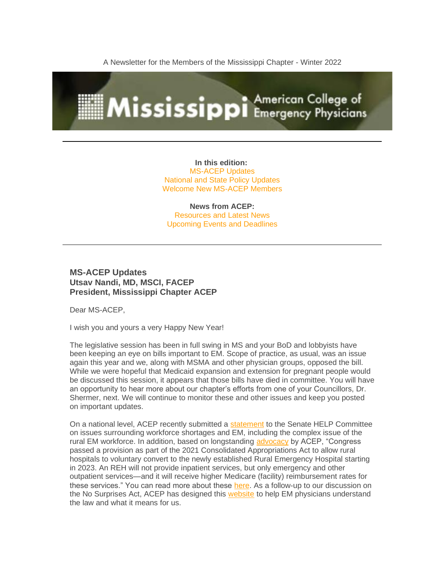A Newsletter for the Members of the Mississippi Chapter - Winter 2022



**In this edition:** MS-ACEP Updates National and State Policy Updates Welcome New MS-ACEP Members

**News from ACEP:** Resources and Latest News Upcoming Events and Deadlines

### **MS-ACEP Updates Utsav Nandi, MD, MSCI, FACEP President, Mississippi Chapter ACEP**

Dear MS-ACEP,

I wish you and yours a very Happy New Year!

The legislative session has been in full swing in MS and your BoD and lobbyists have been keeping an eye on bills important to EM. Scope of practice, as usual, was an issue again this year and we, along with MSMA and other physician groups, opposed the bill. While we were hopeful that Medicaid expansion and extension for pregnant people would be discussed this session, it appears that those bills have died in committee. You will have an opportunity to hear more about our chapter's efforts from one of your Councillors, Dr. Shermer, next. We will continue to monitor these and other issues and keep you posted on important updates.

On a national level, ACEP recently submitted a [statement](https://www.acep.org/globalassets/new-pdfs/acep-emra-joint-statement-for-the-record----help-subcommittee-hearing-on-health-workforce----02102022----final.pdf) to the Senate HELP Committee on issues surrounding workforce shortages and EM, including the complex issue of the rural EM workforce. In addition, based on longstanding [advocacy](https://www.acep.org/federal-advocacy/federal-advocacy-overview/regs--eggs/regs--eggs-articles/regs--eggs---september-23-2021/) by ACEP, "Congress" passed a provision as part of the 2021 Consolidated Appropriations Act to allow rural hospitals to voluntary convert to the newly established Rural Emergency Hospital starting in 2023. An REH will not provide inpatient services, but only emergency and other outpatient services—and it will receive higher Medicare (facility) reimbursement rates for these services." You can read more about these [here.](https://www.acep.org/federal-advocacy/workforce-issues/) As a follow-up to our discussion on the No Surprises Act, ACEP has designed this [website](https://www.acep.org/federal-advocacy/no-surprises-act-overview/) to help EM physicians understand the law and what it means for us.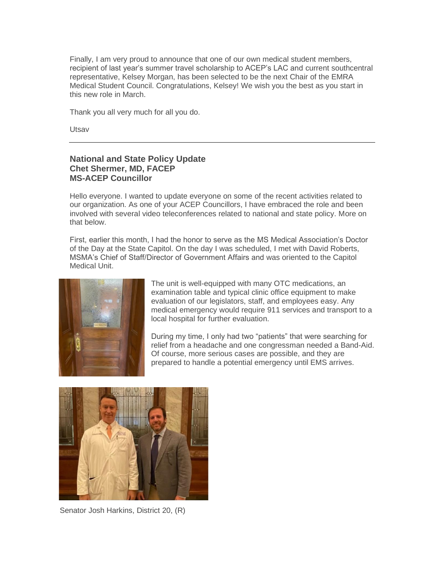Finally, I am very proud to announce that one of our own medical student members, recipient of last year's summer travel scholarship to ACEP's LAC and current southcentral representative, Kelsey Morgan, has been selected to be the next Chair of the EMRA Medical Student Council. Congratulations, Kelsey! We wish you the best as you start in this new role in March.

Thank you all very much for all you do.

Utsav

## **National and State Policy Update Chet Shermer, MD, FACEP MS-ACEP Councillor**

Hello everyone. I wanted to update everyone on some of the recent activities related to our organization. As one of your ACEP Councillors, I have embraced the role and been involved with several video teleconferences related to national and state policy. More on that below.

First, earlier this month, I had the honor to serve as the MS Medical Association's Doctor of the Day at the State Capitol. On the day I was scheduled, I met with David Roberts, MSMA's Chief of Staff/Director of Government Affairs and was oriented to the Capitol Medical Unit.



The unit is well-equipped with many OTC medications, an examination table and typical clinic office equipment to make evaluation of our legislators, staff, and employees easy. Any medical emergency would require 911 services and transport to a local hospital for further evaluation.

During my time, I only had two "patients" that were searching for relief from a headache and one congressman needed a Band-Aid. Of course, more serious cases are possible, and they are prepared to handle a potential emergency until EMS arrives.



Senator Josh Harkins, District 20, (R)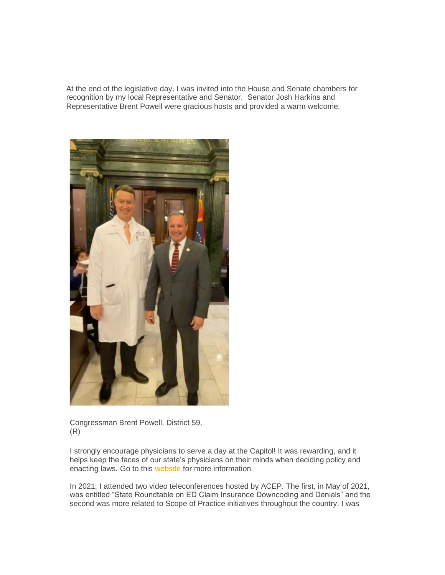At the end of the legislative day, I was invited into the House and Senate chambers for recognition by my local Representative and Senator. Senator Josh Harkins and Representative Brent Powell were gracious hosts and provided a warm welcome.



Congressman Brent Powell, District 59, (R)

I strongly encourage physicians to serve a day at the Capitol! It was rewarding, and it helps keep the faces of our state's physicians on their minds when deciding policy and enacting laws. Go to this [website](https://www.msmaonline.com/Public/Government%20Affairs/Doctor_of_the_Day.aspx) for more information.

In 2021, I attended two video teleconferences hosted by ACEP. The first, in May of 2021, was entitled "State Roundtable on ED Claim Insurance Downcoding and Denials" and the second was more related to Scope of Practice initiatives throughout the country. I was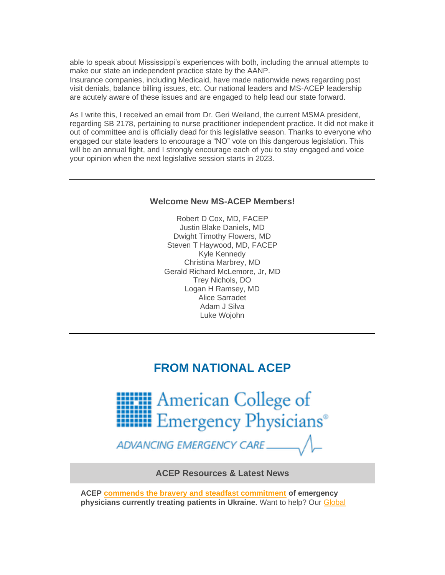able to speak about Mississippi's experiences with both, including the annual attempts to make our state an independent practice state by the AANP.

Insurance companies, including Medicaid, have made nationwide news regarding post visit denials, balance billing issues, etc. Our national leaders and MS-ACEP leadership are acutely aware of these issues and are engaged to help lead our state forward.

As I write this, I received an email from Dr. Geri Weiland, the current MSMA president, regarding SB 2178, pertaining to nurse practitioner independent practice. It did not make it out of committee and is officially dead for this legislative season. Thanks to everyone who engaged our state leaders to encourage a "NO" vote on this dangerous legislation. This will be an annual fight, and I strongly encourage each of you to stay engaged and voice your opinion when the next legislative session starts in 2023.

### **Welcome New MS-ACEP Members!**

Robert D Cox, MD, FACEP Justin Blake Daniels, MD Dwight Timothy Flowers, MD Steven T Haywood, MD, FACEP Kyle Kennedy Christina Marbrey, MD Gerald Richard McLemore, Jr, MD Trey Nichols, DO Logan H Ramsey, MD Alice Sarradet Adam J Silva Luke Wojohn

# **FROM NATIONAL ACEP**



ADVANCING EMERGENCY CARE

**ACEP Resources & Latest News**

**ACEP [commends the bravery and steadfast commitment](https://www.emergencyphysicians.org/press-releases/2022/3-1-22-acep-stands-in-support-of-emergency-physicians-working-in-ukraine) of emergency physicians currently treating patients in Ukraine.** Want to help? Our [Global](https://www.acep.org/by-medical-focus/disaster-medicine/global-conflict/)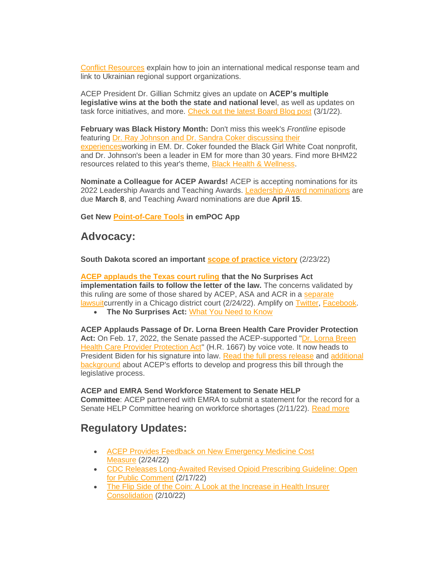[Conflict Resources](https://www.acep.org/by-medical-focus/disaster-medicine/global-conflict/) explain how to join an international medical response team and link to Ukrainian regional support organizations.

ACEP President Dr. Gillian Schmitz gives an update on **ACEP's multiple legislative wins at the both the state and national leve**l, as well as updates on task force initiatives, and more. [Check out the latest Board Blog post](https://www.acep.org/who-we-are/leadership/board-blog/board-blog-articles/march-1-2022/) (3/1/22).

**February was Black History Month:** Don't miss this week's *Frontline* episode featuring Dr. Ray Johnson and Dr. Sandra Coker discussing their [experiencesw](https://soundcloud.com/acep-frontline/black-history-month-special)orking in EM. Dr. Coker founded the Black Girl White Coat nonprofit, and Dr. Johnson's been a leader in EM for more than 30 years. Find more BHM22 resources related to this year's theme, [Black Health & Wellness.](https://www.acep.org/home-page-redirects/latest-news/black-history-month-health--wellness/)

**Nominate a Colleague for ACEP Awards!** ACEP is accepting nominations for its 2022 Leadership Awards and Teaching Awards. [Leadership Award nominations](https://www.acep.org/who-we-are/acep-awards/leadership-and-excellence/acep-leadership-and-excellence-awards/) are due **March 8**, and Teaching Award nominations are due **April 15**.

**Get New [Point-of-Care Tools](https://www.acep.org/patient-care/point-of-care-tools/) in emPOC App**

## **Advocacy:**

**South Dakota scored an important [scope of practice victory](https://www.acep.org/home-page-redirects/latest-news/south-dakota-scores-scope-of-practice-victory/)** (2/23/22)

**[ACEP applauds the Texas court ruling](https://www.emergencyphysicians.org/press-releases/2022/2-24-22-acep-praises-texas-court-ruling-that-finds-flaws-in-no-surprises-act-implementation) that the No Surprises Act implementation fails to follow the letter of the law.** The concerns validated by this ruling are some of those shared by ACEP, ASA and ACR in a [separate](https://www.emergencyphysicians.org/press-releases/2022/2-9-22-in-new-court-motion-major-medical-societies-argue-no-surprises-act-rule-violates-law-passed-by-congress)  [lawsuitc](https://www.emergencyphysicians.org/press-releases/2022/2-9-22-in-new-court-motion-major-medical-societies-argue-no-surprises-act-rule-violates-law-passed-by-congress)urrently in a Chicago district court (2/24/22). Amplify on [Twitter,](https://twitter.com/EmergencyDocs/status/1496973421774884871) [Facebook.](https://www.facebook.com/EmergencyPhysicians.org/posts/10158922625947815)

• **The No Surprises Act:** [What You Need to Know](https://www.acep.org/federal-advocacy/no-surprises-act-overview/)

**ACEP Applauds Passage of Dr. Lorna Breen Health Care Provider Protection Act:** On Feb. 17, 2022, the Senate passed the ACEP-supported ["Dr. Lorna Breen](https://www.congress.gov/bill/117th-congress/house-bill/1667)  [Health Care Provider Protection Act"](https://www.congress.gov/bill/117th-congress/house-bill/1667) (H.R. 1667) by voice vote. It now heads to President Biden for his signature into law. [Read the full press release](https://www.emergencyphysicians.org/press-releases/2022/2-18-22-acep-applauds-the-passage-of-legislation-to-protect-frontline-worker-mental-health) and [additional](https://www.acep.org/corona/COVID-19-alert/covid-19-articles/your-advocacy-at-work-senate-passes-dr.-lorna-breen-bill/)  [background](https://www.acep.org/corona/COVID-19-alert/covid-19-articles/your-advocacy-at-work-senate-passes-dr.-lorna-breen-bill/) about ACEP's efforts to develop and progress this bill through the legislative process.

#### **ACEP and EMRA Send Workforce Statement to Senate HELP**

**Committee**: ACEP partnered with EMRA to submit a statement for the record for a Senate HELP Committee hearing on workforce shortages (2/11/22). [Read more](https://www.acep.org/federal-advocacy/workforce-issues/)

# **Regulatory Updates:**

- [ACEP Provides Feedback on New Emergency Medicine Cost](https://www.acep.org/federal-advocacy/federal-advocacy-overview/regs--eggs/regs--eggs-articles/regs--eggs---february-24-2022/)  [Measure](https://www.acep.org/federal-advocacy/federal-advocacy-overview/regs--eggs/regs--eggs-articles/regs--eggs---february-24-2022/) (2/24/22)
- [CDC Releases Long-Awaited Revised Opioid Prescribing Guideline: Open](https://www.acep.org/federal-advocacy/federal-advocacy-overview/regs--eggs/regs--eggs-articles/regs--eggs---february-17-2022/)  [for Public Comment](https://www.acep.org/federal-advocacy/federal-advocacy-overview/regs--eggs/regs--eggs-articles/regs--eggs---february-17-2022/) (2/17/22)
- The Flip Side of the Coin: A Look at the Increase in Health Insurer [Consolidation](https://www.acep.org/federal-advocacy/federal-advocacy-overview/regs--eggs/regs--eggs-articles/regs--eggs---february-10-2022/) (2/10/22)